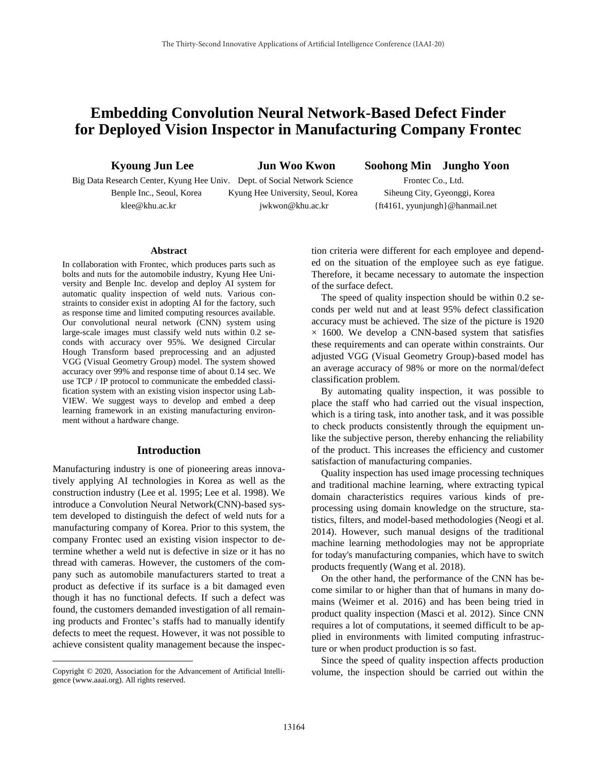# **Embedding Convolution Neural Network-Based Defect Finder for Deployed Vision Inspector in Manufacturing Company Frontec**

**Kyoung Jun Lee Jun Woo Kwon Soohong Min Jungho Yoon**

Big Data Research Center, Kyung Hee Univ. Dept. of Social Network Science Frontec Co., Ltd. Benple Inc., Seoul, Korea Kyung Hee University, Seoul, Korea Siheung City, Gyeonggi, Korea klee@khu.ac.kr jwkwon@khu.ac.kr {ft4161, yyunjungh}@hanmail.net

#### **Abstract**

In collaboration with Frontec, which produces parts such as bolts and nuts for the automobile industry, Kyung Hee University and Benple Inc. develop and deploy AI system for automatic quality inspection of weld nuts. Various constraints to consider exist in adopting AI for the factory, such as response time and limited computing resources available. Our convolutional neural network (CNN) system using large-scale images must classify weld nuts within 0.2 seconds with accuracy over 95%. We designed Circular Hough Transform based preprocessing and an adjusted VGG (Visual Geometry Group) model. The system showed accuracy over 99% and response time of about 0.14 sec. We use TCP / IP protocol to communicate the embedded classification system with an existing vision inspector using Lab-VIEW. We suggest ways to develop and embed a deep learning framework in an existing manufacturing environment without a hardware change.

### **Introduction**

Manufacturing industry is one of pioneering areas innovatively applying AI technologies in Korea as well as the construction industry (Lee et al. 1995; Lee et al. 1998). We introduce a Convolution Neural Network(CNN)-based system developed to distinguish the defect of weld nuts for a manufacturing company of Korea. Prior to this system, the company Frontec used an existing vision inspector to determine whether a weld nut is defective in size or it has no thread with cameras. However, the customers of the company such as automobile manufacturers started to treat a product as defective if its surface is a bit damaged even though it has no functional defects. If such a defect was found, the customers demanded investigation of all remaining products and Frontec's staffs had to manually identify defects to meet the request. However, it was not possible to achieve consistent quality management because the inspec-

Copyright © 2020, Association for the Advancement of Artificial Intelligence (www.aaai.org). All rights reserved.

 $\overline{a}$ 

tion criteria were different for each employee and depended on the situation of the employee such as eye fatigue. Therefore, it became necessary to automate the inspection of the surface defect.

The speed of quality inspection should be within 0.2 seconds per weld nut and at least 95% defect classification accuracy must be achieved. The size of the picture is 1920  $\times$  1600. We develop a CNN-based system that satisfies these requirements and can operate within constraints. Our adjusted VGG (Visual Geometry Group)-based model has an average accuracy of 98% or more on the normal/defect classification problem.

By automating quality inspection, it was possible to place the staff who had carried out the visual inspection, which is a tiring task, into another task, and it was possible to check products consistently through the equipment unlike the subjective person, thereby enhancing the reliability of the product. This increases the efficiency and customer satisfaction of manufacturing companies.

Quality inspection has used image processing techniques and traditional machine learning, where extracting typical domain characteristics requires various kinds of preprocessing using domain knowledge on the structure, statistics, filters, and model-based methodologies (Neogi et al. 2014). However, such manual designs of the traditional machine learning methodologies may not be appropriate for today's manufacturing companies, which have to switch products frequently (Wang et al. 2018).

On the other hand, the performance of the CNN has become similar to or higher than that of humans in many domains (Weimer et al. 2016) and has been being tried in product quality inspection (Masci et al. 2012). Since CNN requires a lot of computations, it seemed difficult to be applied in environments with limited computing infrastructure or when product production is so fast.

Since the speed of quality inspection affects production volume, the inspection should be carried out within the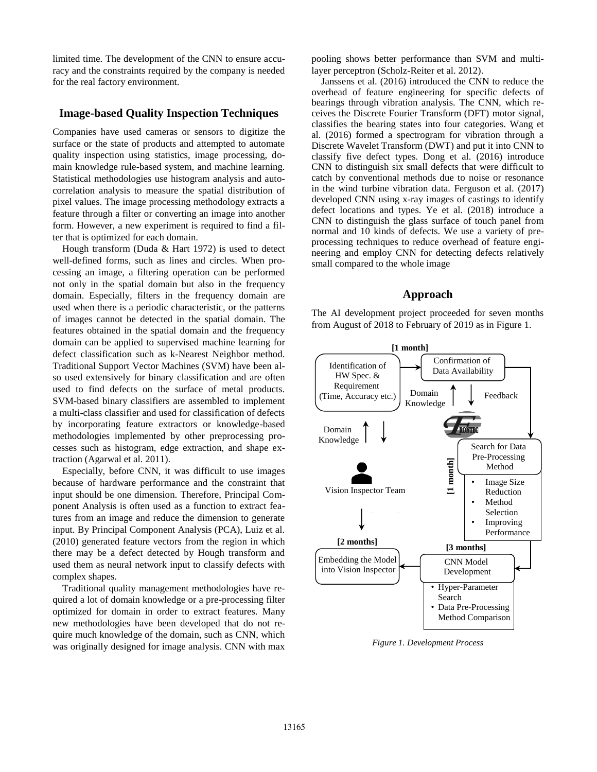limited time. The development of the CNN to ensure accuracy and the constraints required by the company is needed for the real factory environment.

### **Image-based Quality Inspection Techniques**

Companies have used cameras or sensors to digitize the surface or the state of products and attempted to automate quality inspection using statistics, image processing, domain knowledge rule-based system, and machine learning. Statistical methodologies use histogram analysis and autocorrelation analysis to measure the spatial distribution of pixel values. The image processing methodology extracts a feature through a filter or converting an image into another form. However, a new experiment is required to find a filter that is optimized for each domain.

Hough transform (Duda & Hart 1972) is used to detect well-defined forms, such as lines and circles. When processing an image, a filtering operation can be performed not only in the spatial domain but also in the frequency domain. Especially, filters in the frequency domain are used when there is a periodic characteristic, or the patterns of images cannot be detected in the spatial domain. The features obtained in the spatial domain and the frequency domain can be applied to supervised machine learning for defect classification such as k-Nearest Neighbor method. Traditional Support Vector Machines (SVM) have been also used extensively for binary classification and are often used to find defects on the surface of metal products. SVM-based binary classifiers are assembled to implement a multi-class classifier and used for classification of defects by incorporating feature extractors or knowledge-based methodologies implemented by other preprocessing processes such as histogram, edge extraction, and shape extraction (Agarwal et al. 2011).

Especially, before CNN, it was difficult to use images because of hardware performance and the constraint that input should be one dimension. Therefore, Principal Component Analysis is often used as a function to extract features from an image and reduce the dimension to generate input. By Principal Component Analysis (PCA), Luiz et al. (2010) generated feature vectors from the region in which there may be a defect detected by Hough transform and used them as neural network input to classify defects with complex shapes.

Traditional quality management methodologies have required a lot of domain knowledge or a pre-processing filter optimized for domain in order to extract features. Many new methodologies have been developed that do not require much knowledge of the domain, such as CNN, which was originally designed for image analysis. CNN with max

pooling shows better performance than SVM and multilayer perceptron (Scholz-Reiter et al. 2012).

Janssens et al. (2016) introduced the CNN to reduce the overhead of feature engineering for specific defects of bearings through vibration analysis. The CNN, which receives the Discrete Fourier Transform (DFT) motor signal, classifies the bearing states into four categories. Wang et al. (2016) formed a spectrogram for vibration through a Discrete Wavelet Transform (DWT) and put it into CNN to classify five defect types. Dong et al. (2016) introduce CNN to distinguish six small defects that were difficult to catch by conventional methods due to noise or resonance in the wind turbine vibration data. Ferguson et al. (2017) developed CNN using x-ray images of castings to identify defect locations and types. Ye et al. (2018) introduce a CNN to distinguish the glass surface of touch panel from normal and 10 kinds of defects. We use a variety of preprocessing techniques to reduce overhead of feature engineering and employ CNN for detecting defects relatively small compared to the whole image

# **Approach**

The AI development project proceeded for seven months from August of 2018 to February of 2019 as in Figure 1.



*Figure 1. Development Process*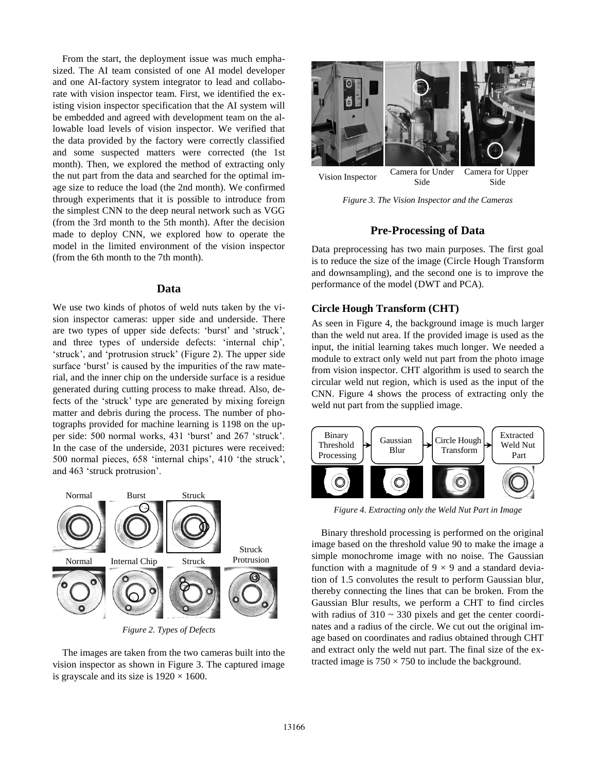From the start, the deployment issue was much emphasized. The AI team consisted of one AI model developer and one AI-factory system integrator to lead and collaborate with vision inspector team. First, we identified the existing vision inspector specification that the AI system will be embedded and agreed with development team on the allowable load levels of vision inspector. We verified that the data provided by the factory were correctly classified and some suspected matters were corrected (the 1st month). Then, we explored the method of extracting only the nut part from the data and searched for the optimal image size to reduce the load (the 2nd month). We confirmed through experiments that it is possible to introduce from the simplest CNN to the deep neural network such as VGG (from the 3rd month to the 5th month). After the decision made to deploy CNN, we explored how to operate the model in the limited environment of the vision inspector (from the 6th month to the 7th month).

#### **Data**

We use two kinds of photos of weld nuts taken by the vision inspector cameras: upper side and underside. There are two types of upper side defects: 'burst' and 'struck', and three types of underside defects: 'internal chip', 'struck', and 'protrusion struck' (Figure 2). The upper side surface 'burst' is caused by the impurities of the raw material, and the inner chip on the underside surface is a residue generated during cutting process to make thread. Also, defects of the 'struck' type are generated by mixing foreign matter and debris during the process. The number of photographs provided for machine learning is 1198 on the upper side: 500 normal works, 431 'burst' and 267 'struck'. In the case of the underside, 2031 pictures were received: 500 normal pieces, 658 'internal chips', 410 'the struck', and 463 'struck protrusion'.



*Figure 2. Types of Defects*

The images are taken from the two cameras built into the vision inspector as shown in Figure 3. The captured image is grayscale and its size is  $1920 \times 1600$ .



Vision Inspector Camera for Under Side Side

*Figure 3. The Vision Inspector and the Cameras*

### **Pre-Processing of Data**

Data preprocessing has two main purposes. The first goal is to reduce the size of the image (Circle Hough Transform and downsampling), and the second one is to improve the performance of the model (DWT and PCA).

### **Circle Hough Transform (CHT)**

As seen in Figure 4, the background image is much larger than the weld nut area. If the provided image is used as the input, the initial learning takes much longer. We needed a module to extract only weld nut part from the photo image from vision inspector. CHT algorithm is used to search the circular weld nut region, which is used as the input of the CNN. Figure 4 shows the process of extracting only the weld nut part from the supplied image.



*Figure 4. Extracting only the Weld Nut Part in Image*

Binary threshold processing is performed on the original image based on the threshold value 90 to make the image a simple monochrome image with no noise. The Gaussian function with a magnitude of  $9 \times 9$  and a standard deviation of 1.5 convolutes the result to perform Gaussian blur, thereby connecting the lines that can be broken. From the Gaussian Blur results, we perform a CHT to find circles with radius of  $310 \sim 330$  pixels and get the center coordinates and a radius of the circle. We cut out the original image based on coordinates and radius obtained through CHT and extract only the weld nut part. The final size of the extracted image is  $750 \times 750$  to include the background.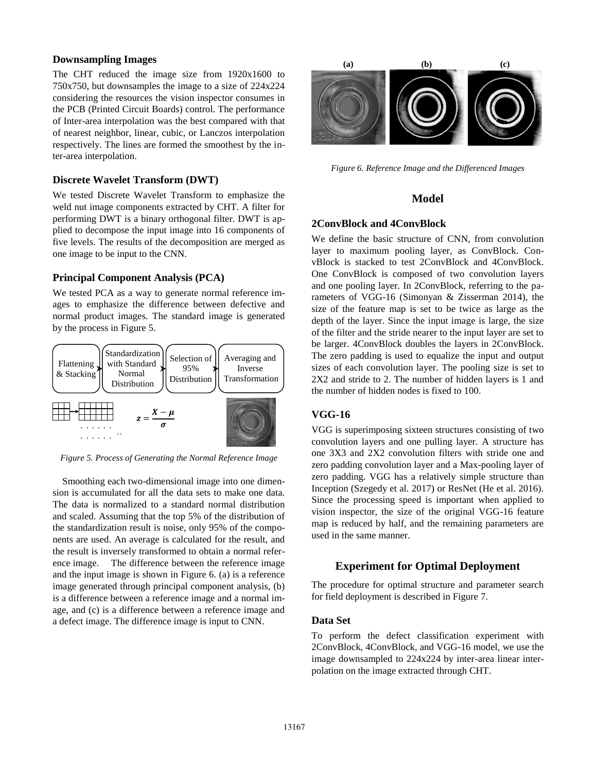### **Downsampling Images**

The CHT reduced the image size from 1920x1600 to 750x750, but downsamples the image to a size of 224x224 considering the resources the vision inspector consumes in the PCB (Printed Circuit Boards) control. The performance of Inter-area interpolation was the best compared with that of nearest neighbor, linear, cubic, or Lanczos interpolation respectively. The lines are formed the smoothest by the inter-area interpolation.

### **Discrete Wavelet Transform (DWT)**

We tested Discrete Wavelet Transform to emphasize the weld nut image components extracted by CHT. A filter for performing DWT is a binary orthogonal filter. DWT is applied to decompose the input image into 16 components of five levels. The results of the decomposition are merged as one image to be input to the CNN.

### **Principal Component Analysis (PCA)**

We tested PCA as a way to generate normal reference images to emphasize the difference between defective and normal product images. The standard image is generated by the process in Figure 5.



*Figure 5. Process of Generating the Normal Reference Image*

Smoothing each two-dimensional image into one dimension is accumulated for all the data sets to make one data. The data is normalized to a standard normal distribution and scaled. Assuming that the top 5% of the distribution of the standardization result is noise, only 95% of the components are used. An average is calculated for the result, and the result is inversely transformed to obtain a normal reference image. The difference between the reference image and the input image is shown in Figure 6. (a) is a reference image generated through principal component analysis, (b) is a difference between a reference image and a normal image, and (c) is a difference between a reference image and a defect image. The difference image is input to CNN.



*Figure 6. Reference Image and the Differenced Images*

# **Model**

### **2ConvBlock and 4ConvBlock**

We define the basic structure of CNN, from convolution layer to maximum pooling layer, as ConvBlock. ConvBlock is stacked to test 2ConvBlock and 4ConvBlock. One ConvBlock is composed of two convolution layers and one pooling layer. In 2ConvBlock, referring to the parameters of VGG-16 (Simonyan & Zisserman 2014), the size of the feature map is set to be twice as large as the depth of the layer. Since the input image is large, the size of the filter and the stride nearer to the input layer are set to be larger. 4ConvBlock doubles the layers in 2ConvBlock. The zero padding is used to equalize the input and output sizes of each convolution layer. The pooling size is set to 2X2 and stride to 2. The number of hidden layers is 1 and the number of hidden nodes is fixed to 100.

# **VGG-16**

VGG is superimposing sixteen structures consisting of two convolution layers and one pulling layer. A structure has one 3X3 and 2X2 convolution filters with stride one and zero padding convolution layer and a Max-pooling layer of zero padding. VGG has a relatively simple structure than Inception (Szegedy et al. 2017) or ResNet (He et al. 2016). Since the processing speed is important when applied to vision inspector, the size of the original VGG-16 feature map is reduced by half, and the remaining parameters are used in the same manner.

### **Experiment for Optimal Deployment**

The procedure for optimal structure and parameter search for field deployment is described in Figure 7.

### **Data Set**

To perform the defect classification experiment with 2ConvBlock, 4ConvBlock, and VGG-16 model, we use the image downsampled to 224x224 by inter-area linear interpolation on the image extracted through CHT.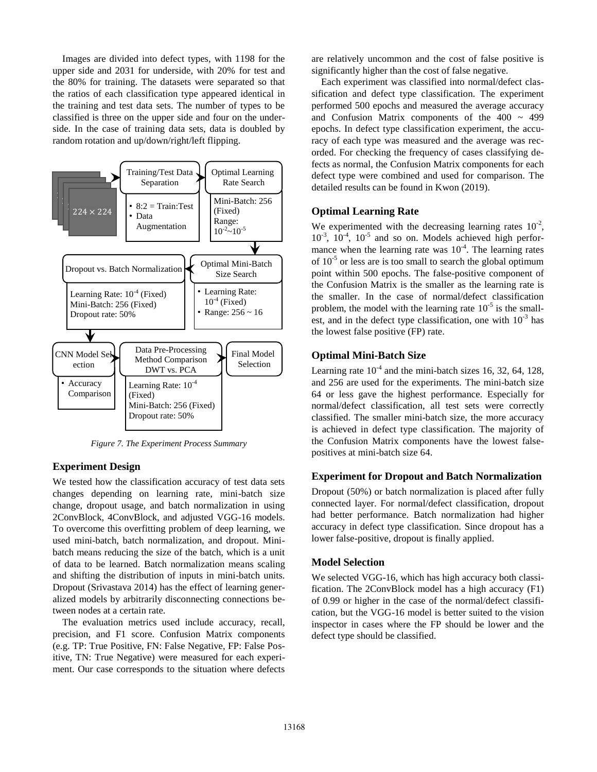Images are divided into defect types, with 1198 for the upper side and 2031 for underside, with 20% for test and the 80% for training. The datasets were separated so that the ratios of each classification type appeared identical in the training and test data sets. The number of types to be classified is three on the upper side and four on the underside. In the case of training data sets, data is doubled by random rotation and up/down/right/left flipping.



*Figure 7. The Experiment Process Summary*

# **Experiment Design**

We tested how the classification accuracy of test data sets changes depending on learning rate, mini-batch size change, dropout usage, and batch normalization in using 2ConvBlock, 4ConvBlock, and adjusted VGG-16 models. To overcome this overfitting problem of deep learning, we used mini-batch, batch normalization, and dropout. Minibatch means reducing the size of the batch, which is a unit of data to be learned. Batch normalization means scaling and shifting the distribution of inputs in mini-batch units. Dropout (Srivastava 2014) has the effect of learning generalized models by arbitrarily disconnecting connections between nodes at a certain rate.

The evaluation metrics used include accuracy, recall, precision, and F1 score. Confusion Matrix components (e.g. TP: True Positive, FN: False Negative, FP: False Positive, TN: True Negative) were measured for each experiment. Our case corresponds to the situation where defects

are relatively uncommon and the cost of false positive is significantly higher than the cost of false negative.

Each experiment was classified into normal/defect classification and defect type classification. The experiment performed 500 epochs and measured the average accuracy and Confusion Matrix components of the  $400 \sim 499$ epochs. In defect type classification experiment, the accuracy of each type was measured and the average was recorded. For checking the frequency of cases classifying defects as normal, the Confusion Matrix components for each defect type were combined and used for comparison. The detailed results can be found in Kwon (2019).

### **Optimal Learning Rate**

We experimented with the decreasing learning rates  $10^{-2}$ ,  $10^{-3}$ ,  $10^{-4}$ ,  $10^{-5}$  and so on. Models achieved high performance when the learning rate was  $10^{-4}$ . The learning rates of  $10^{-5}$  or less are is too small to search the global optimum point within 500 epochs. The false-positive component of the Confusion Matrix is the smaller as the learning rate is the smaller. In the case of normal/defect classification problem, the model with the learning rate  $10^{-5}$  is the smallest, and in the defect type classification, one with  $10^{-3}$  has the lowest false positive (FP) rate.

### **Optimal Mini-Batch Size**

Learning rate  $10^{-4}$  and the mini-batch sizes 16, 32, 64, 128, and 256 are used for the experiments. The mini-batch size 64 or less gave the highest performance. Especially for normal/defect classification, all test sets were correctly classified. The smaller mini-batch size, the more accuracy is achieved in defect type classification. The majority of the Confusion Matrix components have the lowest falsepositives at mini-batch size 64.

### **Experiment for Dropout and Batch Normalization**

Dropout (50%) or batch normalization is placed after fully connected layer. For normal/defect classification, dropout had better performance. Batch normalization had higher accuracy in defect type classification. Since dropout has a lower false-positive, dropout is finally applied.

### **Model Selection**

We selected VGG-16, which has high accuracy both classification. The 2ConvBlock model has a high accuracy (F1) of 0.99 or higher in the case of the normal/defect classification, but the VGG-16 model is better suited to the vision inspector in cases where the FP should be lower and the defect type should be classified.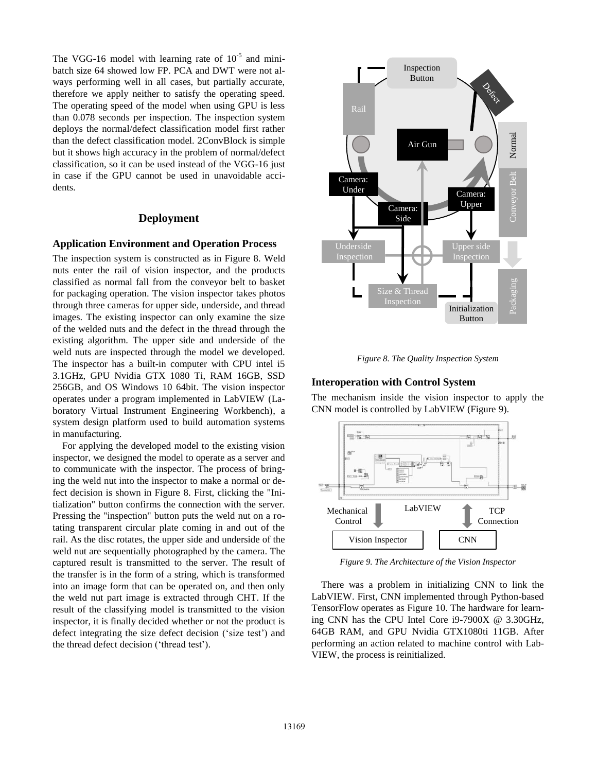The VGG-16 model with learning rate of  $10^{-5}$  and minibatch size 64 showed low FP. PCA and DWT were not always performing well in all cases, but partially accurate, therefore we apply neither to satisfy the operating speed. The operating speed of the model when using GPU is less than 0.078 seconds per inspection. The inspection system deploys the normal/defect classification model first rather than the defect classification model. 2ConvBlock is simple but it shows high accuracy in the problem of normal/defect classification, so it can be used instead of the VGG-16 just in case if the GPU cannot be used in unavoidable accidents.

### **Deployment**

### **Application Environment and Operation Process**

The inspection system is constructed as in Figure 8. Weld nuts enter the rail of vision inspector, and the products classified as normal fall from the conveyor belt to basket for packaging operation. The vision inspector takes photos through three cameras for upper side, underside, and thread images. The existing inspector can only examine the size of the welded nuts and the defect in the thread through the existing algorithm. The upper side and underside of the weld nuts are inspected through the model we developed. The inspector has a built-in computer with CPU intel i5 3.1GHz, GPU Nvidia GTX 1080 Ti, RAM 16GB, SSD 256GB, and OS Windows 10 64bit. The vision inspector operates under a program implemented in LabVIEW (Laboratory Virtual Instrument Engineering Workbench), a system design platform used to build automation systems in manufacturing.

For applying the developed model to the existing vision inspector, we designed the model to operate as a server and to communicate with the inspector. The process of bringing the weld nut into the inspector to make a normal or defect decision is shown in Figure 8. First, clicking the "Initialization" button confirms the connection with the server. Pressing the "inspection" button puts the weld nut on a rotating transparent circular plate coming in and out of the rail. As the disc rotates, the upper side and underside of the weld nut are sequentially photographed by the camera. The captured result is transmitted to the server. The result of the transfer is in the form of a string, which is transformed into an image form that can be operated on, and then only the weld nut part image is extracted through CHT. If the result of the classifying model is transmitted to the vision inspector, it is finally decided whether or not the product is defect integrating the size defect decision ('size test') and the thread defect decision ('thread test').



*Figure 8. The Quality Inspection System*

#### **Interoperation with Control System**

The mechanism inside the vision inspector to apply the CNN model is controlled by LabVIEW (Figure 9).



*Figure 9. The Architecture of the Vision Inspector*

There was a problem in initializing CNN to link the LabVIEW. First, CNN implemented through Python-based TensorFlow operates as Figure 10. The hardware for learning CNN has the CPU Intel Core i9-7900X @ 3.30GHz, 64GB RAM, and GPU Nvidia GTX1080ti 11GB. After performing an action related to machine control with Lab-VIEW, the process is reinitialized.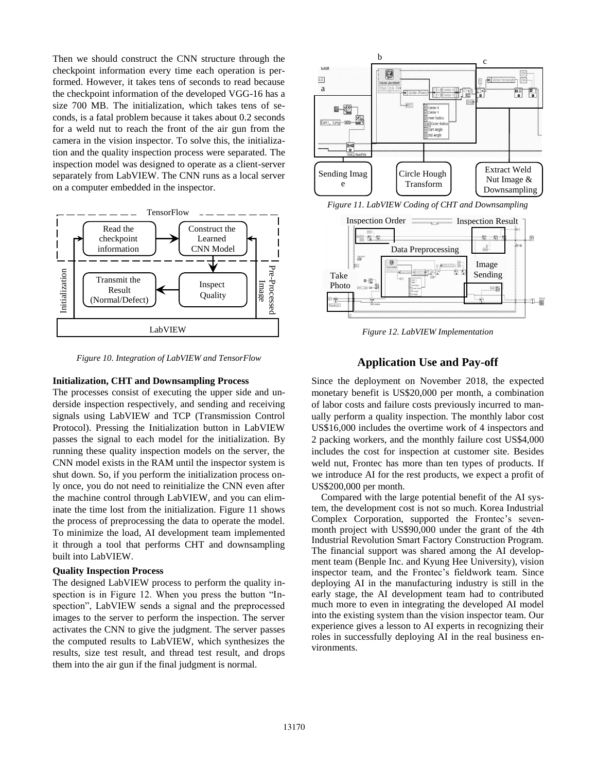Then we should construct the CNN structure through the checkpoint information every time each operation is performed. However, it takes tens of seconds to read because the checkpoint information of the developed VGG-16 has a size 700 MB. The initialization, which takes tens of seconds, is a fatal problem because it takes about 0.2 seconds for a weld nut to reach the front of the air gun from the camera in the vision inspector. To solve this, the initialization and the quality inspection process were separated. The inspection model was designed to operate as a client-server separately from LabVIEW. The CNN runs as a local server on a computer embedded in the inspector.



*Figure 10. Integration of LabVIEW and TensorFlow*

#### **Initialization, CHT and Downsampling Process**

The processes consist of executing the upper side and underside inspection respectively, and sending and receiving signals using LabVIEW and TCP (Transmission Control Protocol). Pressing the Initialization button in LabVIEW passes the signal to each model for the initialization. By running these quality inspection models on the server, the CNN model exists in the RAM until the inspector system is shut down. So, if you perform the initialization process only once, you do not need to reinitialize the CNN even after the machine control through LabVIEW, and you can eliminate the time lost from the initialization. Figure 11 shows the process of preprocessing the data to operate the model. To minimize the load, AI development team implemented it through a tool that performs CHT and downsampling built into LabVIEW.

#### **Quality Inspection Process**

The designed LabVIEW process to perform the quality inspection is in Figure 12. When you press the button "Inspection", LabVIEW sends a signal and the preprocessed images to the server to perform the inspection. The server activates the CNN to give the judgment. The server passes the computed results to LabVIEW, which synthesizes the results, size test result, and thread test result, and drops them into the air gun if the final judgment is normal.



*Figure 11. LabVIEW Coding of CHT and Downsampling*



*Figure 12. LabVIEW Implementation*

### **Application Use and Pay-off**

Since the deployment on November 2018, the expected monetary benefit is US\$20,000 per month, a combination of labor costs and failure costs previously incurred to manually perform a quality inspection. The monthly labor cost US\$16,000 includes the overtime work of 4 inspectors and 2 packing workers, and the monthly failure cost US\$4,000 includes the cost for inspection at customer site. Besides weld nut, Frontec has more than ten types of products. If we introduce AI for the rest products, we expect a profit of US\$200,000 per month.

Compared with the large potential benefit of the AI system, the development cost is not so much. Korea Industrial Complex Corporation, supported the Frontec's sevenmonth project with US\$90,000 under the grant of the 4th Industrial Revolution Smart Factory Construction Program. The financial support was shared among the AI development team (Benple Inc. and Kyung Hee University), vision inspector team, and the Frontec's fieldwork team. Since deploying AI in the manufacturing industry is still in the early stage, the AI development team had to contributed much more to even in integrating the developed AI model into the existing system than the vision inspector team. Our experience gives a lesson to AI experts in recognizing their roles in successfully deploying AI in the real business environments.